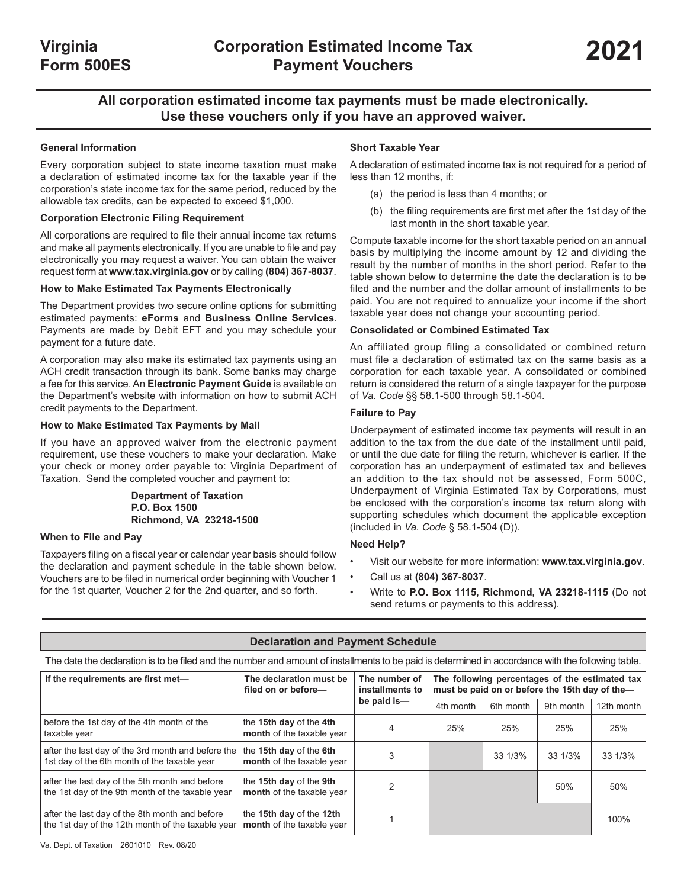# **All corporation estimated income tax payments must be made electronically. Use these vouchers only if you have an approved waiver.**

## **General Information**

Every corporation subject to state income taxation must make a declaration of estimated income tax for the taxable year if the corporation's state income tax for the same period, reduced by the allowable tax credits, can be expected to exceed \$1,000.

### **Corporation Electronic Filing Requirement**

All corporations are required to file their annual income tax returns and make all payments electronically. If you are unable to file and pay electronically you may request a waiver. You can obtain the waiver request form at **www.tax.virginia.gov** or by calling **(804) 367-8037**.

#### **How to Make Estimated Tax Payments Electronically**

The Department provides two secure online options for submitting estimated payments: **eForms** and **Business Online Services.** Payments are made by Debit EFT and you may schedule your payment for a future date.

A corporation may also make its estimated tax payments using an ACH credit transaction through its bank. Some banks may charge a fee for this service. An **Electronic Payment Guide** is available on the Department's website with information on how to submit ACH credit payments to the Department.

#### **How to Make Estimated Tax Payments by Mail**

If you have an approved waiver from the electronic payment requirement, use these vouchers to make your declaration. Make your check or money order payable to: Virginia Department of Taxation. Send the completed voucher and payment to:

#### **Department of Taxation P.O. Box 1500 Richmond, VA 23218-1500**

#### **When to File and Pay**

Taxpayers filing on a fiscal year or calendar year basis should follow the declaration and payment schedule in the table shown below. Vouchers are to be filed in numerical order beginning with Voucher 1 for the 1st quarter, Voucher 2 for the 2nd quarter, and so forth.

### **Short Taxable Year**

A declaration of estimated income tax is not required for a period of less than 12 months, if:

- (a) the period is less than 4 months; or
- (b) the filing requirements are first met after the 1st day of the last month in the short taxable year.

Compute taxable income for the short taxable period on an annual basis by multiplying the income amount by 12 and dividing the result by the number of months in the short period. Refer to the table shown below to determine the date the declaration is to be filed and the number and the dollar amount of installments to be paid. You are not required to annualize your income if the short taxable year does not change your accounting period.

#### **Consolidated or Combined Estimated Tax**

An affiliated group filing a consolidated or combined return must file a declaration of estimated tax on the same basis as a corporation for each taxable year. A consolidated or combined return is considered the return of a single taxpayer for the purpose of *Va. Code* §§ 58.1‑500 through 58.1‑504*.*

#### **Failure to Pay**

Underpayment of estimated income tax payments will result in an addition to the tax from the due date of the installment until paid, or until the due date for filing the return, whichever is earlier. If the corporation has an underpayment of estimated tax and believes an addition to the tax should not be assessed, Form 500C, Underpayment of Virginia Estimated Tax by Corporations, must be enclosed with the corporation's income tax return along with supporting schedules which document the applicable exception (included in *Va. Code* § 58.1‑504 (D)).

### **Need Help?**

- Visit our website for more information: **www.tax.virginia.gov**.
- Call us at **(804) 367-8037**.
- Write to **P.O. Box 1115, Richmond, VA 23218-1115** (Do not send returns or payments to this address).

|                                                                                                                                                    | <b>Declaration and Payment Schedule</b>               |                                  |           |                                                                                                  |           |            |
|----------------------------------------------------------------------------------------------------------------------------------------------------|-------------------------------------------------------|----------------------------------|-----------|--------------------------------------------------------------------------------------------------|-----------|------------|
| The date the declaration is to be filed and the number and amount of installments to be paid is determined in accordance with the following table. |                                                       |                                  |           |                                                                                                  |           |            |
| If the requirements are first met-                                                                                                                 | The declaration must be<br>filed on or before-        | The number of<br>installments to |           | The following percentages of the estimated tax<br>must be paid on or before the 15th day of the- |           |            |
|                                                                                                                                                    |                                                       | be paid is-                      | 4th month | 6th month                                                                                        | 9th month | 12th month |
| before the 1st day of the 4th month of the<br>taxable year                                                                                         | the 15th day of the 4th<br>month of the taxable year  | 4                                | 25%       | 25%                                                                                              | 25%       | 25%        |
| after the last day of the 3rd month and before the<br>1st day of the 6th month of the taxable year                                                 | the 15th day of the 6th<br>month of the taxable year  |                                  |           | 33 1/3%                                                                                          | 33 1/3%   | 33 1/3%    |
| after the last day of the 5th month and before<br>the 1st day of the 9th month of the taxable year                                                 | the 15th day of the 9th<br>month of the taxable year  |                                  |           |                                                                                                  | 50%       | 50%        |
| after the last day of the 8th month and before<br>the 1st day of the 12th month of the taxable year                                                | the 15th day of the 12th<br>month of the taxable year |                                  |           |                                                                                                  |           | 100%       |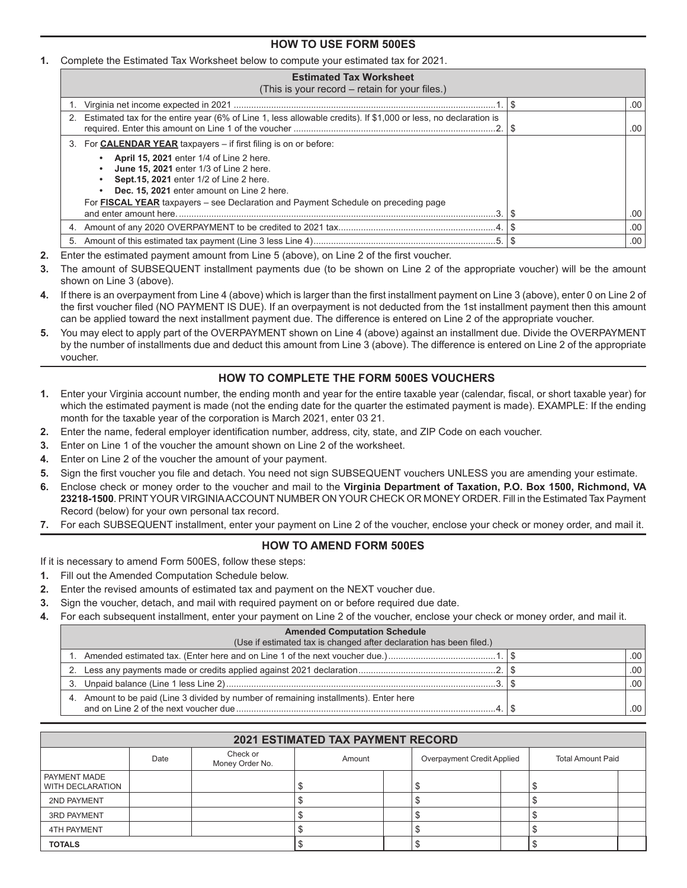# **HOW TO USE FORM 500ES**

### **1.** Complete the Estimated Tax Worksheet below to compute your estimated tax for 2021.

| <b>Estimated Tax Worksheet</b><br>(This is your record – retain for your files.)                                                                                                    |                  |
|-------------------------------------------------------------------------------------------------------------------------------------------------------------------------------------|------------------|
|                                                                                                                                                                                     | .00 <sub>1</sub> |
| 2. Estimated tax for the entire year (6% of Line 1, less allowable credits). If \$1,000 or less, no declaration is                                                                  | $.00\,$          |
| 3. For <b>CALENDAR YEAR</b> taxpayers – if first filing is on or before:                                                                                                            |                  |
| <b>April 15, 2021</b> enter 1/4 of Line 2 here.<br>June 15, 2021 enter 1/3 of Line 2 here.<br>Sept.15, 2021 enter 1/2 of Line 2 here.<br>Dec. 15, 2021 enter amount on Line 2 here. |                  |
| For FISCAL YEAR taxpayers – see Declaration and Payment Schedule on preceding page<br>and enter amount here.                                                                        | ا 00.            |
|                                                                                                                                                                                     | .00 <sub>1</sub> |
|                                                                                                                                                                                     | .00 <sub>1</sub> |

- **2.** Enter the estimated payment amount from Line 5 (above), on Line 2 of the first voucher.
- **3.** The amount of SUBSEQUENT installment payments due (to be shown on Line 2 of the appropriate voucher) will be the amount shown on Line 3 (above).
- **4.** If there is an overpayment from Line 4 (above) which is larger than the first installment payment on Line 3 (above), enter 0 on Line 2 of the first voucher filed (NO PAYMENT IS DUE). If an overpayment is not deducted from the 1st installment payment then this amount can be applied toward the next installment payment due. The difference is entered on Line 2 of the appropriate voucher.
- **5.** You may elect to apply part of the OVERPAYMENT shown on Line 4 (above) against an installment due. Divide the OVERPAYMENT by the number of installments due and deduct this amount from Line 3 (above). The difference is entered on Line 2 of the appropriate voucher.

# **HOW TO COMPLETE THE FORM 500ES VOUCHERS**

- **1.** Enter your Virginia account number, the ending month and year for the entire taxable year (calendar, fiscal, or short taxable year) for which the estimated payment is made (not the ending date for the quarter the estimated payment is made). EXAMPLE: If the ending month for the taxable year of the corporation is March 2021, enter 03 21.
- **2.** Enter the name, federal employer identification number, address, city, state, and ZIP Code on each voucher.
- **3.** Enter on Line 1 of the voucher the amount shown on Line 2 of the worksheet.
- **4.** Enter on Line 2 of the voucher the amount of your payment.
- **5.** Sign the first voucher you file and detach. You need not sign SUBSEQUENT vouchers UNLESS you are amending your estimate.
- **6.** Enclose check or money order to the voucher and mail to the **Virginia Department of Taxation, P.O. Box 1500, Richmond, VA 23218-1500**. PRINT YOUR VIRGINIA ACCOUNT NUMBER ON YOUR CHECK OR MONEY ORDER. Fill in the Estimated Tax Payment Record (below) for your own personal tax record.
- **7.** For each SUBSEQUENT installment, enter your payment on Line 2 of the voucher, enclose your check or money order, and mail it.

# **HOW TO AMEND FORM 500ES**

If it is necessary to amend Form 500ES, follow these steps:

- **1.** Fill out the Amended Computation Schedule below.
- **2.** Enter the revised amounts of estimated tax and payment on the NEXT voucher due.
- **3.** Sign the voucher, detach, and mail with required payment on or before required due date.
- **4.** For each subsequent installment, enter your payment on Line 2 of the voucher, enclose your check or money order, and mail it.

| <b>Amended Computation Schedule</b>                                                   |     |
|---------------------------------------------------------------------------------------|-----|
| (Use if estimated tax is changed after declaration has been filed.)                   |     |
|                                                                                       | .00 |
|                                                                                       | .00 |
|                                                                                       | .00 |
| 4. Amount to be paid (Line 3 divided by number of remaining installments). Enter here | .00 |

|                                           |      |                             | <b>2021 ESTIMATED TAX PAYMENT RECORD</b> |                            |                          |  |
|-------------------------------------------|------|-----------------------------|------------------------------------------|----------------------------|--------------------------|--|
|                                           | Date | Check or<br>Money Order No. | Amount                                   | Overpayment Credit Applied | <b>Total Amount Paid</b> |  |
| I PAYMENT MADE<br><b>WITH DECLARATION</b> |      |                             |                                          |                            |                          |  |
| 2ND PAYMENT                               |      |                             |                                          |                            |                          |  |
| <b>3RD PAYMENT</b>                        |      |                             |                                          |                            |                          |  |
| 4TH PAYMENT                               |      |                             |                                          |                            |                          |  |
| <b>TOTALS</b>                             |      |                             |                                          |                            |                          |  |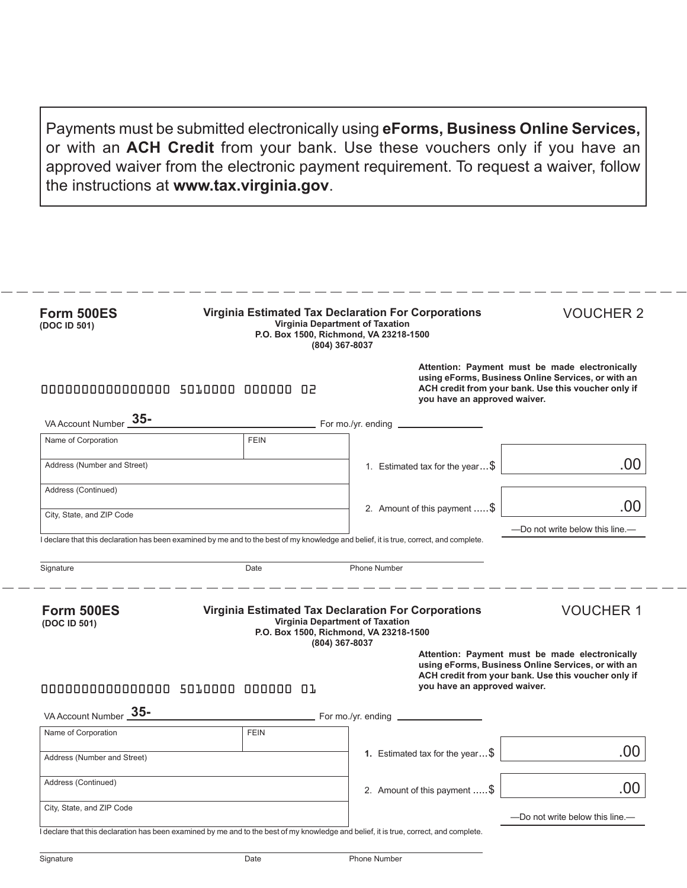Payments must be submitted electronically using **eForms, Business Online Services,** or with an **ACH Credit** from your bank. Use these vouchers only if you have an approved waiver from the electronic payment requirement. To request a waiver, follow the instructions at **www.tax.virginia.gov**.

| <b>VOUCHER 2</b>                                                                                                                                            | <b>Virginia Estimated Tax Declaration For Corporations</b>                                                                             | <b>Virginia Department of Taxation</b><br>P.O. Box 1500, Richmond, VA 23218-1500<br>(804) 367-8037 | Form 500ES<br>(DOC ID 501)         |
|-------------------------------------------------------------------------------------------------------------------------------------------------------------|----------------------------------------------------------------------------------------------------------------------------------------|----------------------------------------------------------------------------------------------------|------------------------------------|
| Attention: Payment must be made electronically<br>using eForms, Business Online Services, or with an<br>ACH credit from your bank. Use this voucher only if | you have an approved waiver.                                                                                                           |                                                                                                    | 0000000000000000 5010000 000000 02 |
|                                                                                                                                                             | $\_$ For mo./yr. ending $\_$                                                                                                           |                                                                                                    | VA Account Number 35-              |
|                                                                                                                                                             |                                                                                                                                        | <b>FEIN</b>                                                                                        | Name of Corporation                |
| .00                                                                                                                                                         | 1. Estimated tax for the year $$$                                                                                                      |                                                                                                    | Address (Number and Street)        |
|                                                                                                                                                             |                                                                                                                                        |                                                                                                    | Address (Continued)                |
|                                                                                                                                                             | 2. Amount of this payment  \$                                                                                                          |                                                                                                    | City, State, and ZIP Code          |
| .00                                                                                                                                                         |                                                                                                                                        |                                                                                                    |                                    |
| —Do not write below this line.—                                                                                                                             |                                                                                                                                        |                                                                                                    |                                    |
|                                                                                                                                                             | I declare that this declaration has been examined by me and to the best of my knowledge and belief, it is true, correct, and complete. |                                                                                                    |                                    |
|                                                                                                                                                             | Phone Number                                                                                                                           | Date                                                                                               | Signature                          |
| <b>VOUCHER 1</b>                                                                                                                                            | <b>Virginia Estimated Tax Declaration For Corporations</b>                                                                             | Virginia Department of Taxation<br>P.O. Box 1500, Richmond, VA 23218-1500                          | Form 500ES<br>(DOC ID 501)         |
| Attention: Payment must be made electronically<br>using eForms, Business Online Services, or with an<br>ACH credit from your bank. Use this voucher only if | you have an approved waiver.                                                                                                           | (804) 367-8037                                                                                     | 0000000000000000 5010000 000000 01 |
|                                                                                                                                                             | For mo./yr. ending _                                                                                                                   |                                                                                                    | VA Account Number 35-              |
|                                                                                                                                                             |                                                                                                                                        | <b>FEIN</b>                                                                                        | Name of Corporation                |
|                                                                                                                                                             | 1. Estimated tax for the year $\ldots$ \$                                                                                              |                                                                                                    | Address (Number and Street)        |
| .00                                                                                                                                                         | 2. Amount of this payment  \$                                                                                                          |                                                                                                    | Address (Continued)                |